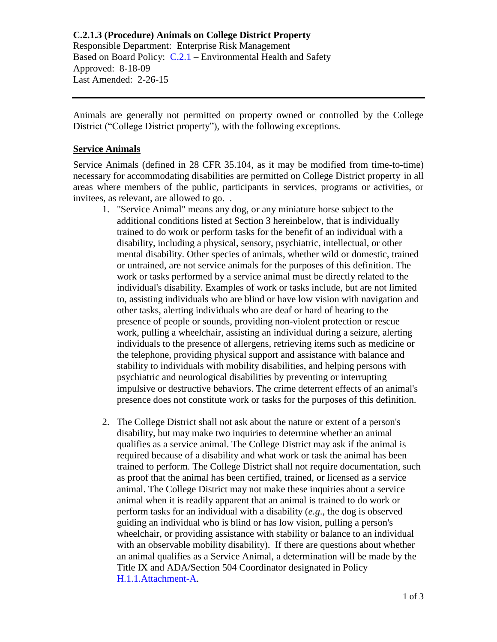**C.2.1.3 (Procedure) Animals on College District Property** Responsible Department: Enterprise Risk Management Based on Board Policy: [C.2.1](https://www.alamo.edu/siteassets/district/about-us/leadership/board-of-trustees/policies-pdfs/section-c/c.2.1-policy.pdf) – Environmental Health and Safety Approved: 8-18-09 Last Amended: 2-26-15

Animals are generally not permitted on property owned or controlled by the College District ("College District property"), with the following exceptions.

## **Service Animals**

Service Animals (defined in 28 CFR 35.104, as it may be modified from time-to-time) necessary for accommodating disabilities are permitted on College District property in all areas where members of the public, participants in services, programs or activities, or invitees, as relevant, are allowed to go. .

- 1. "Service Animal" means any dog, or any miniature horse subject to the additional conditions listed at Section 3 hereinbelow, that is individually trained to do work or perform tasks for the benefit of an individual with a disability, including a physical, sensory, psychiatric, intellectual, or other mental disability. Other species of animals, whether wild or domestic, trained or untrained, are not service animals for the purposes of this definition. The work or tasks performed by a service animal must be directly related to the individual's disability. Examples of work or tasks include, but are not limited to, assisting individuals who are blind or have low vision with navigation and other tasks, alerting individuals who are deaf or hard of hearing to the presence of people or sounds, providing non-violent protection or rescue work, pulling a wheelchair, assisting an individual during a seizure, alerting individuals to the presence of allergens, retrieving items such as medicine or the telephone, providing physical support and assistance with balance and stability to individuals with mobility disabilities, and helping persons with psychiatric and neurological disabilities by preventing or interrupting impulsive or destructive behaviors. The crime deterrent effects of an animal's presence does not constitute work or tasks for the purposes of this definition.
- 2. The College District shall not ask about the nature or extent of a person's disability, but may make two inquiries to determine whether an animal qualifies as a service animal. The College District may ask if the animal is required because of a disability and what work or task the animal has been trained to perform. The College District shall not require documentation, such as proof that the animal has been certified, trained, or licensed as a service animal. The College District may not make these inquiries about a service animal when it is readily apparent that an animal is trained to do work or perform tasks for an individual with a disability (*e.g*., the dog is observed guiding an individual who is blind or has low vision, pulling a person's wheelchair, or providing assistance with stability or balance to an individual with an observable mobility disability). If there are questions about whether an animal qualifies as a Service Animal, a determination will be made by the Title IX and ADA/Section 504 Coordinator designated in Policy [H.1.1.Attachment-A.](https://www.alamo.edu/siteassets/district/about-us/leadership/board-of-trustees/policies-pdfs/section-h/h.1.1-Attachment-a.pdf)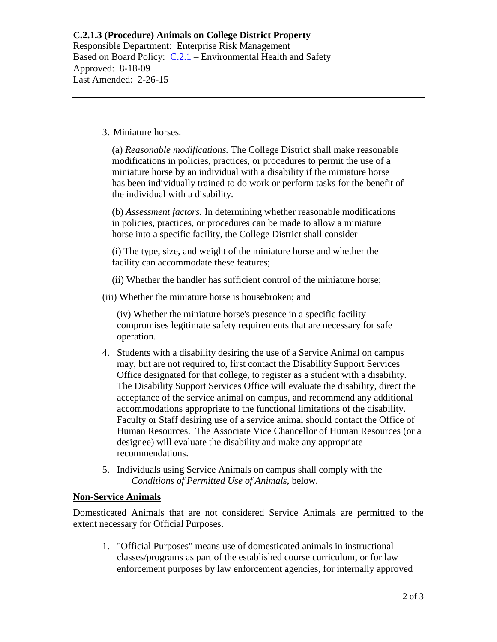**C.2.1.3 (Procedure) Animals on College District Property** Responsible Department: Enterprise Risk Management Based on Board Policy: [C.2.1](https://www.alamo.edu/siteassets/district/about-us/leadership/board-of-trustees/policies-pdfs/section-c/c.2.1-policy.pdf) – Environmental Health and Safety Approved: 8-18-09 Last Amended: 2-26-15

## 3. Miniature horses*.*

(a) *Reasonable modifications.* The College District shall make reasonable modifications in policies, practices, or procedures to permit the use of a miniature horse by an individual with a disability if the miniature horse has been individually trained to do work or perform tasks for the benefit of the individual with a disability.

(b) *Assessment factors.* In determining whether reasonable modifications in policies, practices, or procedures can be made to allow a miniature horse into a specific facility, the College District shall consider—

(i) The type, size, and weight of the miniature horse and whether the facility can accommodate these features;

(ii) Whether the handler has sufficient control of the miniature horse;

(iii) Whether the miniature horse is housebroken; and

(iv) Whether the miniature horse's presence in a specific facility compromises legitimate safety requirements that are necessary for safe operation.

- 4. Students with a disability desiring the use of a Service Animal on campus may, but are not required to, first contact the Disability Support Services Office designated for that college, to register as a student with a disability. The Disability Support Services Office will evaluate the disability, direct the acceptance of the service animal on campus, and recommend any additional accommodations appropriate to the functional limitations of the disability. Faculty or Staff desiring use of a service animal should contact the Office of Human Resources. The Associate Vice Chancellor of Human Resources (or a designee) will evaluate the disability and make any appropriate recommendations.
- 5. Individuals using Service Animals on campus shall comply with the *Conditions of Permitted Use of Animals*, below.

## **Non-Service Animals**

Domesticated Animals that are not considered Service Animals are permitted to the extent necessary for Official Purposes.

1. "Official Purposes" means use of domesticated animals in instructional classes/programs as part of the established course curriculum, or for law enforcement purposes by law enforcement agencies, for internally approved